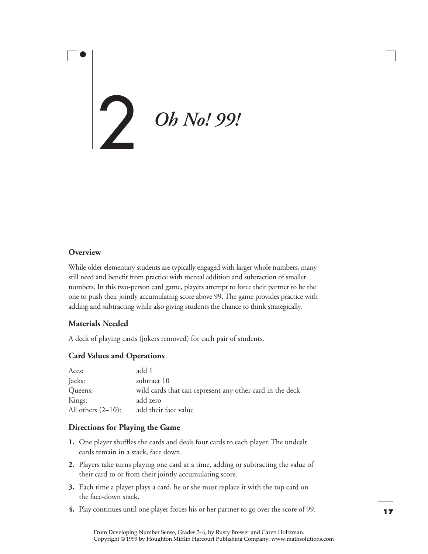# 2 *Oh No! 99!* ●

## **Overview**

While older elementary students are typically engaged with larger whole numbers, many still need and benefit from practice with mental addition and subtraction of smaller numbers. In this two-person card game, players attempt to force their partner to be the one to push their jointly accumulating score above 99. The game provides practice with adding and subtracting while also giving students the chance to think strategically.

## **Materials Needed**

A deck of playing cards (jokers removed) for each pair of students.

#### **Card Values and Operations**

| Aces:                 | add 1                                                    |
|-----------------------|----------------------------------------------------------|
| Jacks:                | subtract 10                                              |
| Queens:               | wild cards that can represent any other card in the deck |
| Kings:                | add zero                                                 |
| All others $(2-10)$ : | add their face value                                     |

## **Directions for Playing the Game**

- **1.** One player shuffles the cards and deals four cards to each player. The undealt cards remain in a stack, face down.
- **2.** Players take turns playing one card at a time, adding or subtracting the value of their card to or from their jointly accumulating score.
- **3.** Each time a player plays a card, he or she must replace it with the top card on the face-down stack.
- **4.** Play continues until one player forces his or her partner to go over the score of 99. **<sup>17</sup>**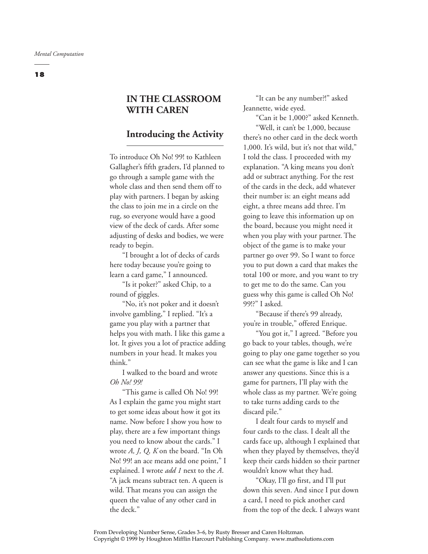# **IN THE CLASSROOM WITH CAREN**

# **Introducing the Activity**

To introduce Oh No! 99! to Kathleen Gallagher's fifth graders, I'd planned to go through a sample game with the whole class and then send them off to play with partners. I began by asking the class to join me in a circle on the rug, so everyone would have a good view of the deck of cards. After some adjusting of desks and bodies, we were ready to begin.

"I brought a lot of decks of cards here today because you're going to learn a card game," I announced.

"Is it poker?" asked Chip, to a round of giggles.

"No, it's not poker and it doesn't involve gambling," I replied. "It's a game you play with a partner that helps you with math. I like this game a lot. It gives you a lot of practice adding numbers in your head. It makes you think."

I walked to the board and wrote *Oh No! 99!*

"This game is called Oh No! 99! As I explain the game you might start to get some ideas about how it got its name. Now before I show you how to play, there are a few important things you need to know about the cards." I wrote *A, J, Q, K* on the board. "In Oh No! 99! an ace means add one point," I explained. I wrote *add 1* next to the *A*. "A jack means subtract ten. A queen is wild. That means you can assign the queen the value of any other card in the deck."

"It can be any number?!" asked Jeannette, wide eyed.

"Can it be 1,000?" asked Kenneth. "Well, it can't be 1,000, because

there's no other card in the deck worth 1,000. It's wild, but it's not that wild," I told the class. I proceeded with my explanation. "A king means you don't add or subtract anything. For the rest of the cards in the deck, add whatever their number is: an eight means add eight, a three means add three. I'm going to leave this information up on the board, because you might need it when you play with your partner. The object of the game is to make your partner go over 99. So I want to force you to put down a card that makes the total 100 or more, and you want to try to get me to do the same. Can you guess why this game is called Oh No! 99!?" I asked.

"Because if there's 99 already, you're in trouble," offered Enrique.

"You got it," I agreed. "Before you go back to your tables, though, we're going to play one game together so you can see what the game is like and I can answer any questions. Since this is a game for partners, I'll play with the whole class as my partner. We're going to take turns adding cards to the discard pile."

I dealt four cards to myself and four cards to the class. I dealt all the cards face up, although I explained that when they played by themselves, they'd keep their cards hidden so their partner wouldn't know what they had.

"Okay, I'll go first, and I'll put down this seven. And since I put down a card, I need to pick another card from the top of the deck. I always want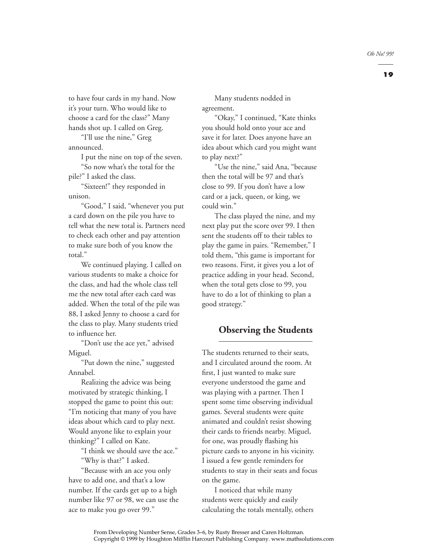to have four cards in my hand. Now it's your turn. Who would like to choose a card for the class?" Many hands shot up. I called on Greg.

"I'll use the nine," Greg announced.

I put the nine on top of the seven. "So now what's the total for the pile?" I asked the class.

"Sixteen!" they responded in unison.

"Good," I said, "whenever you put a card down on the pile you have to tell what the new total is. Partners need to check each other and pay attention to make sure both of you know the total."

We continued playing. I called on various students to make a choice for the class, and had the whole class tell me the new total after each card was added. When the total of the pile was 88, I asked Jenny to choose a card for the class to play. Many students tried to influence her.

"Don't use the ace yet," advised Miguel.

"Put down the nine," suggested Annabel.

Realizing the advice was being motivated by strategic thinking, I stopped the game to point this out: "I'm noticing that many of you have ideas about which card to play next. Would anyone like to explain your thinking?" I called on Kate.

> "I think we should save the ace." "Why is that?" I asked.

"Because with an ace you only have to add one, and that's a low number. If the cards get up to a high number like 97 or 98, we can use the ace to make you go over 99."

Many students nodded in agreement.

"Okay," I continued, "Kate thinks you should hold onto your ace and save it for later. Does anyone have an idea about which card you might want to play next?"

"Use the nine," said Ana, "because then the total will be 97 and that's close to 99. If you don't have a low card or a jack, queen, or king, we could win."

The class played the nine, and my next play put the score over 99. I then sent the students off to their tables to play the game in pairs. "Remember," I told them, "this game is important for two reasons. First, it gives you a lot of practice adding in your head. Second, when the total gets close to 99, you have to do a lot of thinking to plan a good strategy."

# **Observing the Students**

The students returned to their seats, and I circulated around the room. At first, I just wanted to make sure everyone understood the game and was playing with a partner. Then I spent some time observing individual games. Several students were quite animated and couldn't resist showing their cards to friends nearby. Miguel, for one, was proudly flashing his picture cards to anyone in his vicinity. I issued a few gentle reminders for students to stay in their seats and focus on the game.

I noticed that while many students were quickly and easily calculating the totals mentally, others

#### **19**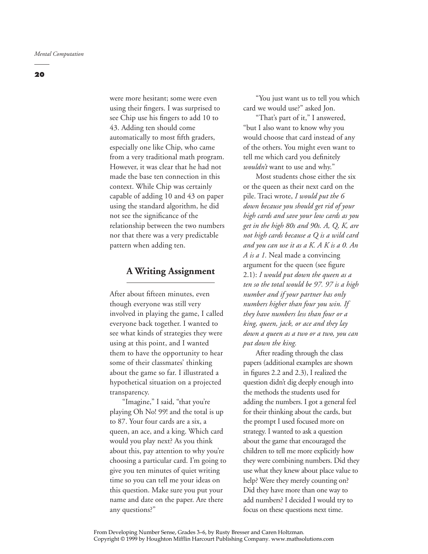#### **20**

were more hesitant; some were even using their fingers. I was surprised to see Chip use his fingers to add 10 to 43. Adding ten should come automatically to most fifth graders, especially one like Chip, who came from a very traditional math program. However, it was clear that he had not made the base ten connection in this context. While Chip was certainly capable of adding 10 and 43 on paper using the standard algorithm, he did not see the significance of the relationship between the two numbers nor that there was a very predictable pattern when adding ten.

## **A Writing Assignment**

After about fifteen minutes, even though everyone was still very involved in playing the game, I called everyone back together. I wanted to see what kinds of strategies they were using at this point, and I wanted them to have the opportunity to hear some of their classmates' thinking about the game so far. I illustrated a hypothetical situation on a projected transparency.

"Imagine," I said, "that you're playing Oh No! 99! and the total is up to 87. Your four cards are a six, a queen, an ace, and a king. Which card would you play next? As you think about this, pay attention to why you're choosing a particular card. I'm going to give you ten minutes of quiet writing time so you can tell me your ideas on this question. Make sure you put your name and date on the paper. Are there any questions?"

"You just want us to tell you which card we would use?" asked Jon.

"That's part of it," I answered, "but I also want to know why you would choose that card instead of any of the others. You might even want to tell me which card you definitely *wouldn't* want to use and why."

Most students chose either the six or the queen as their next card on the pile. Traci wrote, *I would put the 6 down because you should get rid of your high cards and save your low cards as you get in the high 80s and 90s. A, Q, K, are not high cards because a Q is a wild card and you can use it as a K. A K is a 0. An A is a 1.* Neal made a convincing argument for the queen (see figure 2.1): *I would put down the queen as a ten so the total would be 97. 97 is a high number and if your partner has only numbers higher than four you win. If they have numbers less than four or a king, queen, jack, or ace and they lay down a queen as a two or a two, you can put down the king.*

After reading through the class papers (additional examples are shown in figures 2.2 and 2.3), I realized the question didn't dig deeply enough into the methods the students used for adding the numbers. I got a general feel for their thinking about the cards, but the prompt I used focused more on strategy. I wanted to ask a question about the game that encouraged the children to tell me more explicitly how they were combining numbers. Did they use what they knew about place value to help? Were they merely counting on? Did they have more than one way to add numbers? I decided I would try to focus on these questions next time.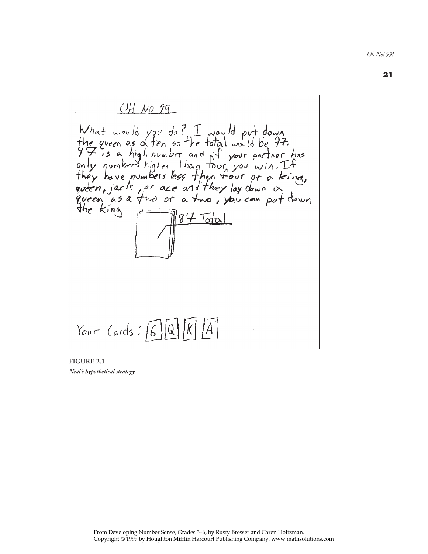$OH$  No 99 What would you do? I would put down<br>the queen as a ten so the total would be 97.<br>97 is a high number and if your partner has<br>only numbers higher than four you win. If<br>they have numbers less than four or a king,<br>gueen as a the *king*  $\|87$  Total Your Cards:  $\lceil 6 \rceil | 9$ 

**FIGURE 2.1** *Neal's hypothetical strategy.*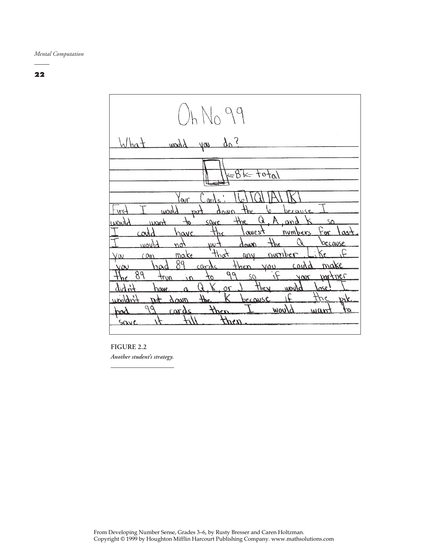| $(hN_099$                                                                                                                                         |
|---------------------------------------------------------------------------------------------------------------------------------------------------|
| $\lambda_0$ ?<br>$M_{\text{Edd}}$<br>$\sqrt{qq}$                                                                                                  |
| $\epsilon$ B $\epsilon$ +0+a)                                                                                                                     |
| $\alpha$<br>$\alpha$ d<br>would<br>60059<br>dawp<br>mrt                                                                                           |
| $H^k$<br>Q<br>uport<br>save<br>hronyg<br>SO<br>. and<br>ror<br><u>avest</u><br>numbers<br><u>have</u><br><b>AS</b><br>CON                         |
| because<br>monpy<br>ल्फ<br>down<br>W<br>make<br>number<br><u>any</u><br>C <sub>0</sub><br>That<br>V (M                                            |
| 89<br>make<br>۱، ۸۰ ک<br>$V\Omega V$<br>cards<br>na<br>her<br>VW<br>89<br>99<br>partner<br>$\overline{2Q}$<br><b>YOUT</b><br>۲Ñ.<br>mun<br>$\eta$ |
| wov'<br>nse<br>$\alpha$<br><b>RN</b><br><b>LONE</b><br>trailant<br>becouse<br>$d$ aun<br>٧x٧                                                      |
| then<br><u>woul</u><br>cords<br>$M$ $\Omega$<br>$\mathbf{bad}$<br>Save<br>n In                                                                    |
|                                                                                                                                                   |

**FIGURE 2.2** *Another student's strategy.*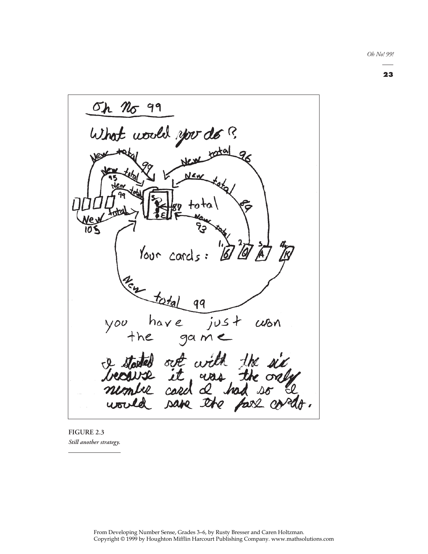*Oh No! 99!*

Oh no 99<br>What would you do? oto יטו Your cards: total 99 have just cusn  $V$ 00  $the$ out with the a sane the pare

**FIGURE 2.3** *Still another strategy.*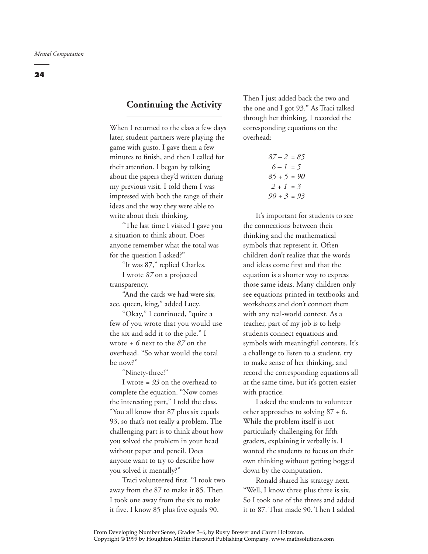**24**

# **Continuing the Activity**

When I returned to the class a few days later, student partners were playing the game with gusto. I gave them a few minutes to finish, and then I called for their attention. I began by talking about the papers they'd written during my previous visit. I told them I was impressed with both the range of their ideas and the way they were able to write about their thinking.

"The last time I visited I gave you a situation to think about. Does anyone remember what the total was for the question I asked?"

"It was 87," replied Charles. I wrote *87* on a projected

transparency. "And the cards we had were six,

ace, queen, king," added Lucy.

"Okay," I continued, "quite a few of you wrote that you would use the six and add it to the pile." I wrote *+ 6* next to the *87* on the overhead. "So what would the total be now?"

"Ninety-three!"

I wrote *= 93* on the overhead to complete the equation. "Now comes the interesting part," I told the class. "You all know that 87 plus six equals 93, so that's not really a problem. The challenging part is to think about how you solved the problem in your head without paper and pencil. Does anyone want to try to describe how you solved it mentally?"

Traci volunteered first. "I took two away from the 87 to make it 85. Then I took one away from the six to make it five. I know 85 plus five equals 90.

Then I just added back the two and the one and I got 93." As Traci talked through her thinking, I recorded the corresponding equations on the overhead:

$$
87 - 2 = 85
$$
  
\n
$$
6 - 1 = 5
$$
  
\n
$$
85 + 5 = 90
$$
  
\n
$$
2 + 1 = 3
$$
  
\n
$$
90 + 3 = 93
$$

It's important for students to see the connections between their thinking and the mathematical symbols that represent it. Often children don't realize that the words and ideas come first and that the equation is a shorter way to express those same ideas. Many children only see equations printed in textbooks and worksheets and don't connect them with any real-world context. As a teacher, part of my job is to help students connect equations and symbols with meaningful contexts. It's a challenge to listen to a student, try to make sense of her thinking, and record the corresponding equations all at the same time, but it's gotten easier with practice.

I asked the students to volunteer other approaches to solving 87 + 6. While the problem itself is not particularly challenging for fifth graders, explaining it verbally is. I wanted the students to focus on their own thinking without getting bogged down by the computation.

Ronald shared his strategy next. "Well, I know three plus three is six. So I took one of the threes and added it to 87. That made 90. Then I added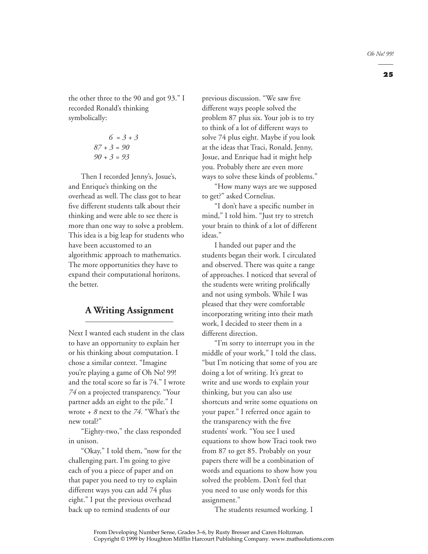*Oh No! 99!*

**25**

the other three to the 90 and got 93." I recorded Ronald's thinking symbolically:

$$
6 = 3 + 3
$$
  

$$
87 + 3 = 90
$$
  

$$
90 + 3 = 93
$$

Then I recorded Jenny's, Josue's, and Enrique's thinking on the overhead as well. The class got to hear five different students talk about their thinking and were able to see there is more than one way to solve a problem. This idea is a big leap for students who have been accustomed to an algorithmic approach to mathematics. The more opportunities they have to expand their computational horizons, the better.

# **A Writing Assignment**

Next I wanted each student in the class to have an opportunity to explain her or his thinking about computation. I chose a similar context. "Imagine you're playing a game of Oh No! 99! and the total score so far is 74." I wrote *74* on a projected transparency. "Your partner adds an eight to the pile." I wrote *+ 8* next to the *74.* "What's the new total?"

"Eighty-two," the class responded in unison.

"Okay," I told them, "now for the challenging part. I'm going to give each of you a piece of paper and on that paper you need to try to explain different ways you can add 74 plus eight." I put the previous overhead back up to remind students of our

previous discussion. "We saw five different ways people solved the problem 87 plus six. Your job is to try to think of a lot of different ways to solve 74 plus eight. Maybe if you look at the ideas that Traci, Ronald, Jenny, Josue, and Enrique had it might help you. Probably there are even more ways to solve these kinds of problems."

"How many ways are we supposed to get?" asked Cornelius.

"I don't have a specific number in mind," I told him. "Just try to stretch your brain to think of a lot of different ideas."

I handed out paper and the students began their work. I circulated and observed. There was quite a range of approaches. I noticed that several of the students were writing prolifically and not using symbols. While I was pleased that they were comfortable incorporating writing into their math work, I decided to steer them in a different direction.

"I'm sorry to interrupt you in the middle of your work," I told the class, "but I'm noticing that some of you are doing a lot of writing. It's great to write and use words to explain your thinking, but you can also use shortcuts and write some equations on your paper." I referred once again to the transparency with the five students' work. "You see I used equations to show how Traci took two from 87 to get 85. Probably on your papers there will be a combination of words and equations to show how you solved the problem. Don't feel that you need to use only words for this assignment."

The students resumed working. I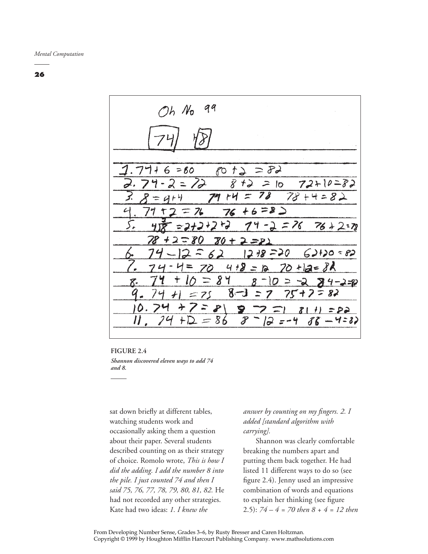

#### **FIGURE 2.4**

*Shannon discovered eleven ways to add 74 and 8.*

sat down briefly at different tables, watching students work and occasionally asking them a question about their paper. Several students described counting on as their strategy of choice. Romolo wrote, *This is how I did the adding. I add the number 8 into the pile. I just counted 74 and then I said 75, 76, 77, 78, 79, 80, 81, 82.* He had not recorded any other strategies. Kate had two ideas: *1. I knew the*

*answer by counting on my fingers. 2. I added [standard algorithm with carrying].*

Shannon was clearly comfortable breaking the numbers apart and putting them back together. He had listed 11 different ways to do so (see figure 2.4). Jenny used an impressive combination of words and equations to explain her thinking (see figure 2.5): *74 – 4 = 70 then 8 + 4 = 12 then*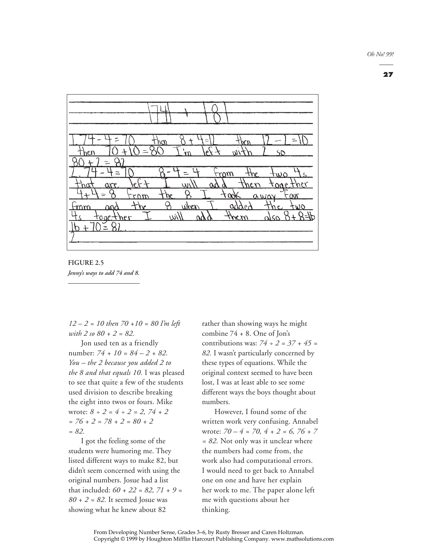*Oh No! 99!*



**FIGURE 2.5** *Jenny's ways to add 74 and 8.*

*12 – 2 = 10 then 70 +10 = 80 I'm left with 2 so 80 + 2 = 82.*

Jon used ten as a friendly number: *74 + 10 = 84 – 2 + 82. You – the 2 because you added 2 to the 8 and that equals 10.* I was pleased to see that quite a few of the students used division to describe breaking the eight into twos or fours. Mike wrote: *8 ÷ 2 = 4 ÷ 2 = 2, 74 + 2 = 76 + 2 = 78 + 2 = 80 + 2 = 82.*

I got the feeling some of the students were humoring me. They listed different ways to make 82, but didn't seem concerned with using the original numbers. Josue had a list that included: *60 + 22 = 82, 71 + 9 = 80 + 2 = 82.* It seemed Josue was showing what he knew about 82

rather than showing ways he might combine 74 + 8. One of Jon's contributions was: *74 ÷ 2 = 37 + 45 = 82.* I wasn't particularly concerned by these types of equations. While the original context seemed to have been lost, I was at least able to see some different ways the boys thought about numbers.

However, I found some of the written work very confusing. Annabel wrote: *70 – 4 = 70, 4 + 2 = 6, 76 + 7 = 82.* Not only was it unclear where the numbers had come from, the work also had computational errors. I would need to get back to Annabel one on one and have her explain her work to me. The paper alone left me with questions about her thinking.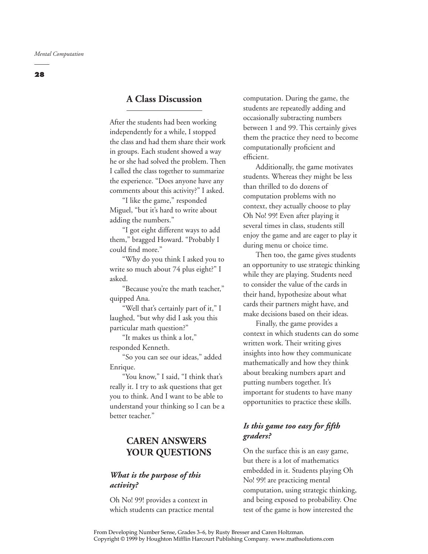## **A Class Discussion**

After the students had been working independently for a while, I stopped the class and had them share their work in groups. Each student showed a way he or she had solved the problem. Then I called the class together to summarize the experience. "Does anyone have any comments about this activity?" I asked.

"I like the game," responded Miguel, "but it's hard to write about adding the numbers."

"I got eight different ways to add them," bragged Howard. "Probably I could find more."

"Why do you think I asked you to write so much about 74 plus eight?" I asked.

"Because you're the math teacher," quipped Ana.

"Well that's certainly part of it," I laughed, "but why did I ask you this particular math question?"

"It makes us think a lot," responded Kenneth.

"So you can see our ideas," added Enrique.

"You know," I said, "I think that's really it. I try to ask questions that get you to think. And I want to be able to understand your thinking so I can be a better teacher."

# **CAREN ANSWERS YOUR QUESTIONS**

## *What is the purpose of this activity?*

Oh No! 99! provides a context in which students can practice mental

computation. During the game, the students are repeatedly adding and occasionally subtracting numbers between 1 and 99. This certainly gives them the practice they need to become computationally proficient and efficient.

Additionally, the game motivates students. Whereas they might be less than thrilled to do dozens of computation problems with no context, they actually choose to play Oh No! 99! Even after playing it several times in class, students still enjoy the game and are eager to play it during menu or choice time.

Then too, the game gives students an opportunity to use strategic thinking while they are playing. Students need to consider the value of the cards in their hand, hypothesize about what cards their partners might have, and make decisions based on their ideas.

Finally, the game provides a context in which students can do some written work. Their writing gives insights into how they communicate mathematically and how they think about breaking numbers apart and putting numbers together. It's important for students to have many opportunities to practice these skills.

# *Is this game too easy for fifth graders?*

On the surface this is an easy game, but there is a lot of mathematics embedded in it. Students playing Oh No! 99! are practicing mental computation, using strategic thinking, and being exposed to probability. One test of the game is how interested the

**28**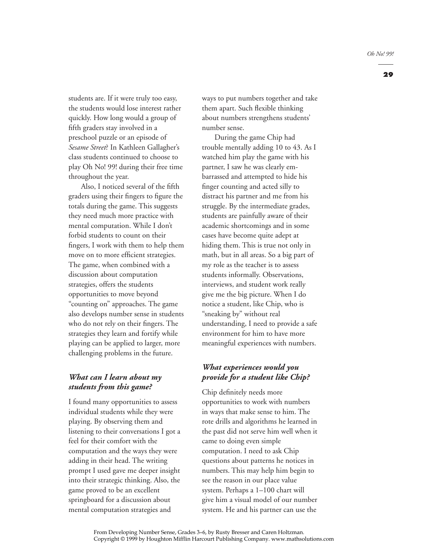**29**

students are. If it were truly too easy, the students would lose interest rather quickly. How long would a group of fifth graders stay involved in a preschool puzzle or an episode of *Sesame Street*? In Kathleen Gallagher's class students continued to choose to play Oh No! 99! during their free time throughout the year.

Also, I noticed several of the fifth graders using their fingers to figure the totals during the game. This suggests they need much more practice with mental computation. While I don't forbid students to count on their fingers, I work with them to help them move on to more efficient strategies. The game, when combined with a discussion about computation strategies, offers the students opportunities to move beyond "counting on" approaches. The game also develops number sense in students who do not rely on their fingers. The strategies they learn and fortify while playing can be applied to larger, more challenging problems in the future.

# *What can I learn about my students from this game?*

I found many opportunities to assess individual students while they were playing. By observing them and listening to their conversations I got a feel for their comfort with the computation and the ways they were adding in their head. The writing prompt I used gave me deeper insight into their strategic thinking. Also, the game proved to be an excellent springboard for a discussion about mental computation strategies and

ways to put numbers together and take them apart. Such flexible thinking about numbers strengthens students' number sense.

During the game Chip had trouble mentally adding 10 to 43. As I watched him play the game with his partner, I saw he was clearly embarrassed and attempted to hide his finger counting and acted silly to distract his partner and me from his struggle. By the intermediate grades, students are painfully aware of their academic shortcomings and in some cases have become quite adept at hiding them. This is true not only in math, but in all areas. So a big part of my role as the teacher is to assess students informally. Observations, interviews, and student work really give me the big picture. When I do notice a student, like Chip, who is "sneaking by" without real understanding, I need to provide a safe environment for him to have more meaningful experiences with numbers.

## *What experiences would you provide for a student like Chip?*

Chip definitely needs more opportunities to work with numbers in ways that make sense to him. The rote drills and algorithms he learned in the past did not serve him well when it came to doing even simple computation. I need to ask Chip questions about patterns he notices in numbers. This may help him begin to see the reason in our place value system. Perhaps a 1–100 chart will give him a visual model of our number system. He and his partner can use the